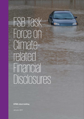# FSB Task Force on Climaterelated Financial Disclosures

**KPMG client briefing** 

January 2017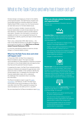# What is the Task Force and why has it been set up?

Climate change is emerging as a threat to the stability of the financial system. The G20 finance ministers and Central Bank governors therefore asked the Financial Stability Board (FSB) to review how the financial sector can best take account of climate-related issues.

In order for investors, lenders, insurers and other financial stakeholders to build climate-related risks into their decisions, corporations need to provide relevant information. However, this information is currently not available and there is not a recognized framework for corporations to identify, quantity and report climate-related financial risks.

That is why, in December 2015, Mark Carney — the Chair of the FSB and Governor of the Bank of England announced the formation of the **Task Force on Climaterelated Financial Disclosures (TCFD)**.

It is the first international initiative to examine climate change in a financial stability context.

# **What has the Task Force done and what will happen next?**

In December 2016, the Task Force released its Recommendations report. This report provides recommendations for data preparers to disclose consistent information on the climate-related risks and opportunities they face and the potential financial impacts.

In preparing this report, the Task Force reviewed existing disclosure initiatives and analyzed the gap between what exists and what is needed. It has worked to identify key climate-related risks, to catalogue the information that financial stakeholders need, and to understand the challenges that corporations face in providing this information.

The Recommendations report is open for [public](https://www.fsb-tcfd.org/publications/public-consultation/)  [consultation](https://www.fsb-tcfd.org/publications/public-consultation/) until February 12 2017. The Task Force will provide its final recommendations to the FSB in June after which the FSB is expected to present the recommendations at the G20 summit in July 2017.

You can download the full Recommendations report [here](https://www.fsb-tcfd.org/publications/recommendations-report/).

# **What are climate-related financial risks and opportunities?**

The Task Force is focusing on Transition risks and Physical risks:



**Transition Risks** include the financial and reputational impacts of failing to make a successful commercial transition to the low carbon economy. This covers the risks associated with:

- policy action that attempts to mitigate climate change or encourage adaptation to it
- litigation claims against companies for contributing to climate change, or failing to act on it
- new technology developments displacing existing technologies and infrastructure (e.g. renewable energy replacing coal plants)

changes in market dynamics.



disruption to a corporations operations and value **Physical risks** include the financial impacts of the physical effects of climate change. These include chain from extreme weather such as floods, droughts, heatwaves and hurricanes. They also include risks from longer-term shifts in climate patterns. For example sustained higher temperatures leading to sea level rise.



The Task Force also outlined **opportunities** that can be realized through efforts to mitigate and adapt to climate change. For example:

- Resource efficiency can reduce operating costs as well as curbing emissions
- opportunities to reduce their energy costs The cost of low emission energy sources is decreasing providing organizations with potential
- The growing global market for low emission products & services provides commercial opportunities for corporations.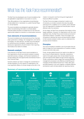# What has the Task Force recommended?

The Task Force has developed a set of recommendations that are applicable to organizations in any sector or country.

They offer guidance on how organizations should disclose climate-related risk in mainstream (i.e. public) financial filings (i.e. annual reports).

The recommendations are designed to generate decisionuseful, forward-looking information on climate-related financial impacts and also to increase focus on the risks and opportunities related to a transition to a lower-carbon economy.

### **Core elements of recommendations**

The recommendations are structured around four thematic areas: governance, strategy, risk management, and metrics and targets. For each element, the Task Force has defined an overarching recommendation, supported by a set of disclosures organizations should include in their reporting. See breakout box below for details.

### **Scenario analysis**

A key element of the Task Force's recommendations is that organizations should use scenario analysis to assess potential business, strategic, and financial implications of climate-related risks and opportunities and disclose those in their financial filings.

Scenario analysis can help to manage the uncertainties of climate change as, for the majority of organizations, the most significant effects of climate change will be felt in the medium to long term and the timing and magnitude of these are difficult to predict.

The Task Force encourages companies to select a set of scenarios, to include a scenario that assumes global warming of 2°C in addition to 2 or 3 others, and to disclose how the organization's strategy and financial plans may be affected under the scenarios.

At this stage, the Task Force recognizes that analysis will be largely qualitative. However, for organizations with the most significant risks, the Task Force recommends some level of quantitative analysis, if possible. It also encourages such companies to disclose key inputs and assumptions related to their scenario analysis to allow users to understand the process and its limitations.

### **Principles**

The recommendations establish a set of principles that are likely to shape the future expectations of investors, lenders, insurers and other data users.

Firstly, climate-related financial risk needs to be called out as an issue for Board attention. Secondly, corporations need to thoroughly assess their climate-related financial risks and opportunities ideally through scenario planning. Thirdly, corporations need to adapt their existing ERM/risk management processes to be effective at identifying and managing climate-related financial risk. Finally, data users and data preparers must work together to develop effective and decision-useful climate-related risk reporting metrics.

| <b>Summary of recommended disclosures</b>                                                                                                                         |                                                                                                                                                                                                                                                                                                                                                                               |                                                                                                                                                                                                                                        |                                                                                                                                                                                                                                                                                                  |
|-------------------------------------------------------------------------------------------------------------------------------------------------------------------|-------------------------------------------------------------------------------------------------------------------------------------------------------------------------------------------------------------------------------------------------------------------------------------------------------------------------------------------------------------------------------|----------------------------------------------------------------------------------------------------------------------------------------------------------------------------------------------------------------------------------------|--------------------------------------------------------------------------------------------------------------------------------------------------------------------------------------------------------------------------------------------------------------------------------------------------|
|                                                                                                                                                                   |                                                                                                                                                                                                                                                                                                                                                                               |                                                                                                                                                                                                                                        |                                                                                                                                                                                                                                                                                                  |
| Governance                                                                                                                                                        | <b>Strategy</b>                                                                                                                                                                                                                                                                                                                                                               | Risk management                                                                                                                                                                                                                        | Metrics and targets                                                                                                                                                                                                                                                                              |
| <b>Recommendation:</b><br>Disclose the organizations<br>governance around climate-<br>related risks and opportunities                                             | <b>Recommendation:</b><br>Disclose the actual and<br>potential impacts of climate-<br>related risks and opportunities<br>on the organizations<br>businesses, strategy, and<br>financial planning                                                                                                                                                                              | <b>Recommendation:</b><br>Disclose how the<br>organization identifies,<br>assesses, and manages<br>climate-related financial risks                                                                                                     | <b>Recommendations:</b><br>Disclose the metrics and<br>targets used to assess and<br>manage relevant climate-<br>related financial risks and<br>opportunities                                                                                                                                    |
| <b>Disclosures:</b><br>Describe the board's oversight<br>of - and management's role<br>in - assessing and managing,<br>climate-related risks and<br>opportunities | <b>Disclosures:</b><br>Describe the climate-related<br>financial risks and opportunities<br>the organization has identified<br>and the impact of these risks<br>to business, strategy and<br>financial planning. Also use<br>scenario analysis to describe<br>the impact of different global<br>warming scenarios and the<br>likely associated policy and<br>market responses | <b>Disclosures:</b><br>Describe the processes<br>for identifying, assessing and<br>managing climate-related<br>financial risks and how these<br>processes are integrated into<br>the organizations overall risk<br>management approach | <b>Disclosures:</b><br>Disclose metrics used to<br>assess climate-related financial<br>risks and opportunities and<br>disclose GHG emissions and<br>the related risks. Describe<br>targets used to manage<br>climate-related risks and<br>opportunities and performance<br>against these targets |

© 2017 KPMG International Cooperative ("KPMG International"). KPMG International provides no client services and is a Swiss entity with which the independent member firms of the KPMG network are affiliated. All rights reserved.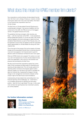# What does this mean for KPMG member firm clients?

Few corporations currently disclose climate-related financial risks. But that is set to change. Simply put, investors, lenders and insurers need much more, and much better, information on the financial risks corporations face from climate change.

The Task Force on Climate-related Financial Disclosures is a potential game changer. It has serious credibility with the involvement of the G20, the FSB and some of the biggest names in the global financial community.

The guidelines that have emerged, while voluntary, are likely — with the imprimatur of the FSB — to be accepted as de-facto global best practice. Or, at the very least, they will be used by regulators and stock exchanges to determine local standards. Board directors, as part of their fiduciary duty, will be expected to ensure they are applied so that the corporation reports appropriately on climate-related risk along with other material risks.

This is the start of the process. But as the impacts of climate change and the associated financial risks to business become more and more apparent, the financial sector's quest for decision-useful risk disclosure will become ever more urgent.

What can KPMG clients do to prepare? Our advice is to start now with a full assessment of where climate-related risk lies within the organization, with a focus on the transition and physical risks prioritized by the Task Force.

We also recommend that corporations assess the current state of their processes and data quality for identifying and reporting climate-related risks. This will include systems for reporting carbon emissions and progress against carbon reduction targets, but will have to go further to translate this data into financial risks. Assessing the linkage of climate change to risk management and scenario analyses will be critical in light of the Task Force's recommendations.

Understanding climate-related risks and building them into financial reporting will be challenging. So - while there is no immediate requirement to disclose the information publicly – take this time to get ahead. This way, in a few years when climate risk reporting becomes mainstream practice, you will be prepared.

# **For further information contact:**



# **Wim Bartels**

TCFD member and Partner, Corporate Reporting, KPMG in the Netherlands

bartels.wim@kpmg.nl

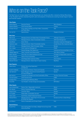# Who is on the Task Force?

The Task Force on Climate-related Financial Disclosures is an industry-led effort, chaired by Michael Bloomberg. It has 32 global members representing both users and preparers of disclosures covering a broad range of sectors and financial markets.

| <b>Vice Chairs</b>       |                                                                                            |                                          |
|--------------------------|--------------------------------------------------------------------------------------------|------------------------------------------|
| Denise Pavarina          | <b>Executive Director</b>                                                                  | <b>Banco Bradesco</b>                    |
| <b>Graeme Pitkethly</b>  | <b>Chief Financial Officer</b>                                                             | Unilever                                 |
| <b>Christian Thimann</b> | Group Head of Strategy and Public Affairs, Sustainability<br>and Public Affairs            | <b>AXA</b>                               |
| Yeo Lian Sim             | <b>Special Adviser</b>                                                                     | Singapore Exchange                       |
| <b>Data Users</b>        |                                                                                            |                                          |
| Matt Arnold              | Managing Director and Global Head of Sustainable Finance                                   | JPMorgan Chase & Co.                     |
| <b>Bruno Bertocci</b>    | Managing Director, Head of Sustainable Investors                                           | <b>UBS Asset Management</b>              |
| David Blood              | <b>Senior Partner</b>                                                                      | <b>Generation Investment Management</b>  |
| <b>Stephanie Leaist</b>  | Managing Director, Head of Sustainable Investing                                           | Canada Pension Plan Investment Board     |
| <b>Mark Lewis</b>        | Managing Director, Head of European Utilities                                              | <b>Barclays</b>                          |
| <b>Eloy Lindeijer</b>    | Chief, Investment Management                                                               | <b>PGGM</b>                              |
| Ruixia Liu               | General Manager, Risk Department                                                           | Industrial and Commercial Bank of China  |
| Masaaki Nagamura         | Head, Corporate Social Responsibility                                                      | <b>Tokio Marine Holdings</b>             |
| <b>Martin Skancke</b>    | <b>Chair, Risk Committee Storebrand and Chair</b>                                          | Principles for Responsible Investment    |
| <b>Andreas Spiegel</b>   | <b>Head of Group Sustainability</b>                                                        | Swiss Re                                 |
| Steve Waygood            | Chief Responsible Investment Officer                                                       | <b>Aviva Investors</b>                   |
| Deborah Winshel          | Managing Director, Global Head of Impact Investing                                         | <b>BlackRock</b>                         |
| <b>Data Preparers</b>    |                                                                                            |                                          |
| Liliana Franco           | Director, Accounting Organization<br>and Methods                                           | Air Liquide Group                        |
| Koushik Chatterjee       | Group Executive Director, Finance and Corporate                                            | <b>Tata Steel</b>                        |
| Udo Hartmann             | Senior Manager, Group Environmental Protection<br>& Energy Management                      | Daimler                                  |
| <b>Neil Hawkins</b>      | Corporate Vice President and Chief Sustainability Officer                                  | The Dow Chemical Company                 |
| <b>Thomas Kusterer</b>   | <b>Chief Financial Orricer</b>                                                             | <b>EnBW</b>                              |
| Giuseppe Ricci           | Chief Refining & Marketing Officer                                                         | Eni                                      |
| <b>Fiona Wild</b>        | Vice President, Climate Change and Sustainability                                          | <b>BHP Billiton</b>                      |
| <b>Other Experts</b>     |                                                                                            |                                          |
| Jane Ambachtsheer        | Partner, Chair - Responsible Investment                                                    | Mercer                                   |
| <b>Wim Bartels</b>       | Partner, Corporate Reporting                                                               | <b>KPMG</b>                              |
| <b>Richard Cantor</b>    | <b>Chief Risk Officer</b>                                                                  | Moody's                                  |
| <b>Eric Dugelay</b>      | Global leader, Sustainability Services                                                     | <b>Deloitte</b>                          |
| Diane Larsen             | Audit Partner, Global Professional Practice                                                | EY                                       |
| <b>Michael Wilkins</b>   | Managing Director, Global Head of Environmental<br>& Climate Risk Research                 | <b>Standard and Poors Global Ratings</b> |
| Jon Williams             | Partner, Sustainability and Climate Change                                                 | PwC                                      |
| <b>Special Advisors</b>  |                                                                                            |                                          |
| <b>Russell Picot</b>     | Chair, Audit and Risk Committee, LifeSight Former Group Chief<br><b>Accounting Officer</b> | <b>HSBC</b>                              |

© 2017 KPMG International Cooperative ("KPMG International"), a Swiss entity. Member firms of the KPMG network of independent firms are affiliated with KPMG International.<br>KPMG International provides no client services. No